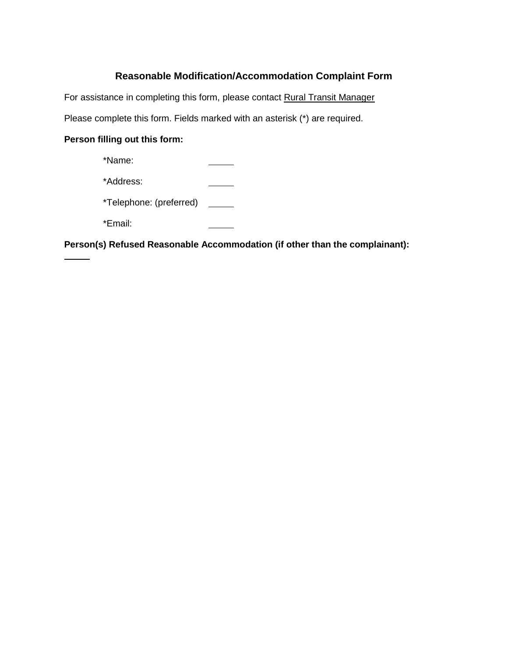## **Reasonable Modification/Accommodation Complaint Form**

For assistance in completing this form, please contact Rural Transit Manager

Please complete this form. Fields marked with an asterisk (\*) are required.

## **Person filling out this form:**

| *Name:                  |  |
|-------------------------|--|
| *Address:               |  |
| *Telephone: (preferred) |  |
| *Email:                 |  |

**Person(s) Refused Reasonable Accommodation (if other than the complainant):**